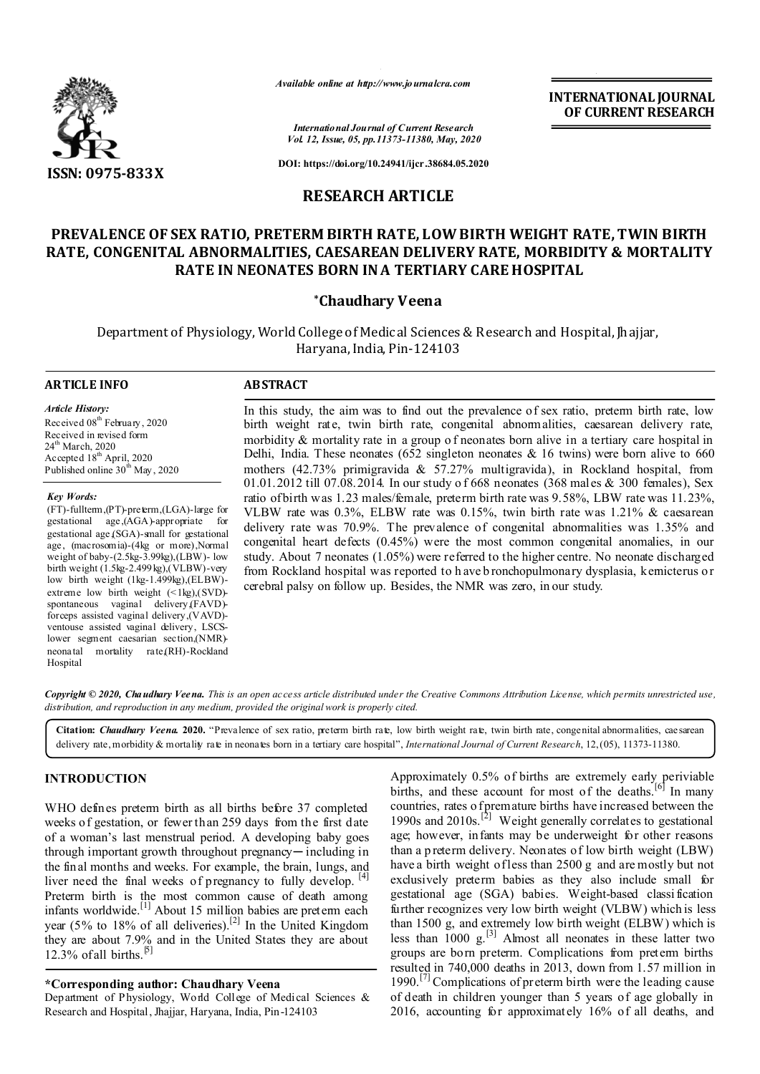

*Available online at http://www.journalcra.com*

**INTERNATIONAL JOURNAL OF CURRENT RESEARCH**

*International Journal of Current Research Vol. 12, Issue, 05, pp.11373-11380, May, 2020*

**DOI: https://doi.org/10.24941/ijcr.38684.05.2020**

# **RESEARCH ARTICLE**

# **PREVALENCE OF SEX RATIO, PRETERM BIRTH RATE, LOW BIRTH WEIGHT RATE, TWIN BIRTH RATE, CONGENITAL ABNORMALITIES, CAESAREAN DELIVERY RATE, MORBIDITY & MORTALITY RATE IN NEONATES BORN IN A TERTIARY CARE HOSPITAL**

# **\*Chaudhary Veena**

Department of Physiology, World College of Medical Sciences & Research and Hospital, Jhajjar, Haryana, India, Pin-124103

# **ARTICLE INFO ABSTRACT**

*Article History:* Received 08<sup>th</sup> February, 2020 Received in revised form 24<sup>th</sup> March, 2020 Accepted  $18^{th}$  April, 2020 Published online  $30^{th}$  May, 2020

*Key Words:*

(FT)-fullterm,(PT)-preterm,(LGA)-large for gestational age,(AGA)-appropriate for gestational age,(SGA)-small for gestational age, (macrosomia)-(4kg or more),Normal weight of baby-(2.5kg-3.99kg),(LBW)- low birth weight (1.5kg-2.499kg),(VLBW)-very low birth weight (1kg-1.499kg),(ELBW) extreme low birth weight (<1kg),(SVD)spontaneous vaginal delivery,(FAVD) forceps assisted vaginal delivery,(VAVD) ventouse assisted vaginal delivery, LSCSlower segment caesarian section,(NMR) neonatal mortality rate,(RH)-Rockland Hospital

In this study, the aim was to find out the prevalence of sex ratio, preterm birth rate, low birth weight rate, twin birth rate, congenital abnormalities, caesarean delivery rate, morbidity  $\&$  mortality rate in a group of neonates born alive in a tertiary care hospital in Delhi, India. These neonates (652 singleton neonates  $\&$  16 twins) were born alive to 660 mothers (42.73% primigravida & 57.27% multigravida), in Rockland hospital, from 01.01.2012 till 07.08.2014. In our study o f 668 neonates (368 males & 300 females), Sex ratio of birth was 1.23 males/female, preterm birth rate was 9.58%, LBW rate was 11.23%, VLBW rate was  $0.3\%$ , ELBW rate was  $0.15\%$ , twin birth rate was  $1.21\%$  & caesarean delivery rate was 70.9%. The prevalence of congenital abnormalities was 1.35% and congenital heart defects (0.45%) were the most common congenital anomalies, in our study. About 7 neonates (1.05%) were referred to the higher centre. No neonate discharged from Rockland hospital was reported to h ave b ronchopulmonary dysplasia, kernicterus o r cerebral palsy on follow up. Besides, the NMR was zero, in our study.

*Copyright © 2020, Chaudhary Veena. This is an open access article distributed under the Creative Commons Attribution License, which permits unrestricted use, distribution, and reproduction in any medium, provided the original work is properly cited.*

**Citation:** *Chaudhary Veena.* **2020.** "Prevalence of sex ratio, preterm birth rate, low birth weight rate, twin birth rate, congenital abnormalities, caesarean delivery rate,morbidity & mortality rate in neonates born in a tertiary care hospital", *International Journal of Current Research*, 12,(05), 11373-11380.

### **INTRODUCTION**

WHO defines preterm birth as all births before 37 completed weeks of gestation, or fewer than 259 days from the first date of a woman's last menstrual period. A developing baby goes through important growth throughout pregnancy-including in the final months and weeks. For example, the brain, lungs, and liver need the final weeks of pregnancy to fully develop. [4] Preterm birth is the most common cause of death among infants worldwide.<sup>[1]</sup> About 15 million babies are preterm each year (5% to 18% of all deliveries).<sup>[2]</sup> In the United Kingdom they are about 7.9% and in the United States they are about 12.3% of all births.<sup>[5]</sup>

#### **\*Corresponding author: Chaudhary Veena**

Department of Physiology, World College of Medical Sciences & Research and Hospital, Jhajjar, Haryana, India, Pin-124103

Approximately 0.5% of births are extremely early periviable births, and these account for most of the deaths.<sup>[6]</sup> In many countries, rates o f premature births have increased between the 1990s and 2010s.<sup>[2]</sup> Weight generally correlates to gestational age; however, infants may be underweight for other reasons than a p reterm delivery. Neonates of low birth weight (LBW) have a birth weight of less than 2500 g and are mostly but not exclusively preterm babies as they also include small for gestational age (SGA) babies. Weight-based classi fication further recognizes very low birth weight (VLBW) which is less than 1500 g, and extremely low birth weight (ELBW) which is less than  $1000 \text{ g}$ <sup>[3]</sup> Almost all neonates in these latter two groups are born preterm. Complications from preterm births resulted in 740,000 deaths in 2013, down from 1.57 million in  $1990$ .<sup>[7]</sup> Complications of preterm birth were the leading cause of death in children younger than 5 years of age globally in 2016, accounting for approximately 16% of all deaths, and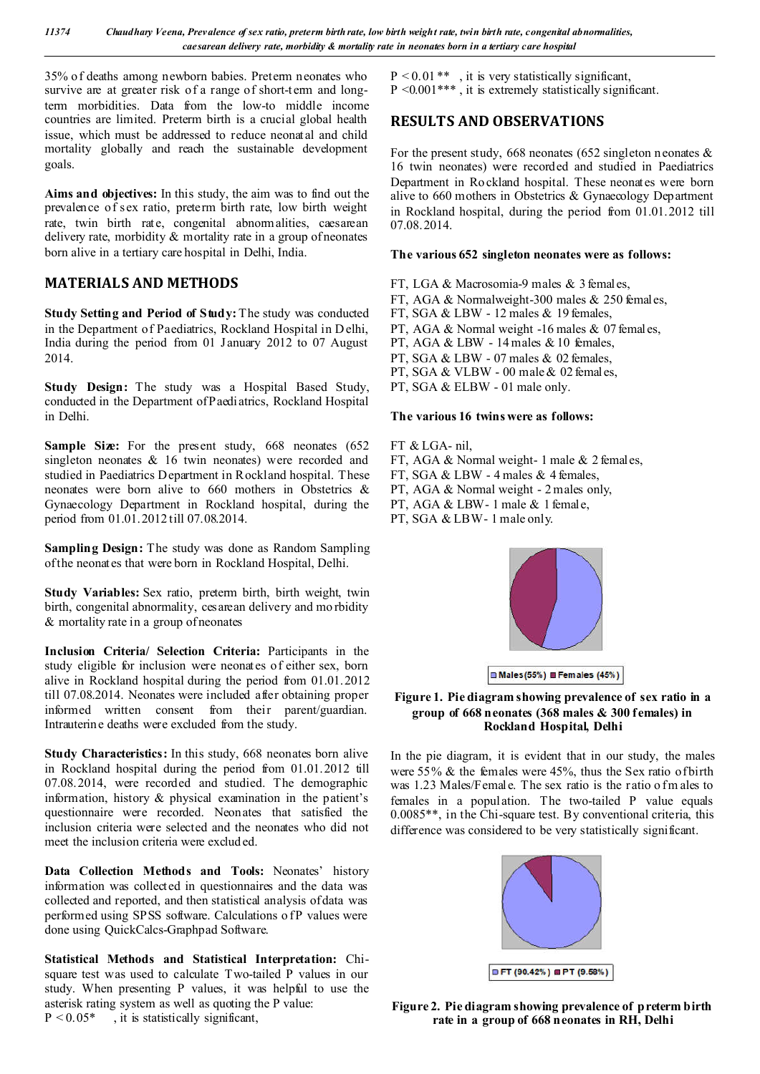*11374 Chaudhary Veena, Prevalence of sex ratio, preterm birth rate, low birth weight rate, twin birth rate, congenital abnormalities, caesarean delivery rate, morbidity & mortality rate in neonates born in a tertiary care hospital*

35% of deaths among newborn babies. Preterm neonates who survive are at greater risk of a range of short-term and longterm morbidities. Data from the low-to middle income countries are limited. Preterm birth is a crucial global health issue, which must be addressed to reduce neonatal and child mortality globally and reach the sustainable development goals.

**Aims and objectives:** In this study, the aim was to find out the prevalence of sex ratio, preterm birth rate, low birth weight rate, twin birth rate, congenital abnormalities, caesarean delivery rate, morbidity & mortality rate in a group of neonates born alive in a tertiary care hospital in Delhi, India.

# **MATERIALS AND METHODS**

**Study Setting and Period of Study:** The study was conducted in the Department of Paediatrics, Rockland Hospital in D elhi, India during the period from 01 January 2012 to 07 August 2014.

**Study Design:** The study was a Hospital Based Study, conducted in the Department of Paediatrics, Rockland Hospital in Delhi.

**Sample Size:** For the present study, 668 neonates (652) singleton neonates & 16 twin neonates) were recorded and studied in Paediatrics Department in Rockland hospital. These neonates were born alive to 660 mothers in Obstetrics & Gynaecology Department in Rockland hospital, during the period from 01.01.2012 till 07.08.2014.

**Sampling Design:** The study was done as Random Sampling of the neonates that were born in Rockland Hospital, Delhi.

**Study Variables:** Sex ratio, preterm birth, birth weight, twin birth, congenital abnormality, ces arean delivery and mo rbidity & mortality rate in a group of neonates

**Inclusion Criteria/ Selection Criteria:** Participants in the study eligible for inclusion were neonates of either sex, born alive in Rockland hospital during the period from 01.01.2012 till 07.08.2014. Neonates were included after obtaining proper informed written consent from their parent/guardian. Intrauterine deaths were excluded from the study.

**Study Characteristics:** In this study, 668 neonates born alive in Rockland hospital during the period from 01.01.2012 till 07.08.2014, were recorded and studied. The demographic information, history & physical examination in the patient's questionnaire were recorded. Neonates that satisfied the inclusion criteria were selected and the neonates who did not meet the inclusion criteria were excluded.

Data Collection Methods and Tools: Neonates' history information was collected in questionnaires and the data was collected and reported, and then statistical analysis of data was performed using SPSS software. Calculations of P values were done using QuickCalcs-Graphpad Software.

**Statistical Methods and Statistical Interpretation:** Chisquare test was used to calculate Two-tailed P values in our study. When presenting P values, it was helpful to use the asterisk rating system as well as quoting the P value:  $P \leq 0.05^*$ , it is statistically significant,

 $P < 0.01$ <sup>\*\*</sup>, it is very statistically significant, P <0.001\*\*\* , it is extremely statistically significant.

# **RESULTS AND OBSERVATIONS**

For the present study, 668 neonates (652 singleton n eonates  $\&$ 16 twin neonates) were recorded and studied in Paediatrics Department in Ro ckland hospital. These neonates were born alive to 660 mothers in Obstetrics & Gynaecology Department in Rockland hospital, during the period from 01.01.2012 till 07.08.2014.

## **The various 652 singleton neonates were as follows:**

- FT, LGA & Macrosomia-9 males & 3 females,
- FT, AGA & Normalweight-300 males & 250 females,
- FT, SGA & LBW 12 males & 19 females,

PT, AGA & Normal weight -16 males & 07 females,

- PT, AGA & LBW 14 males & 10 females,
- PT, SGA & LBW 07 males & 02 females,

PT, SGA & VLBW - 00 male & 02 females,

PT, SGA & ELBW - 01 male only.

#### **The various 16 twins were as follows:**

FT & LGA- nil,

- FT, AGA & Normal weight- 1 male & 2 females,
- FT, SGA & LBW 4 males & 4 females,
- PT, AGA & Normal weight 2 males only,
- PT, AGA & LBW- 1 male & 1 female,
- PT, SGA & LBW- 1 male only.



 $Males(55%)$  Females (45%)

#### **Figure 1. Pie diagram showing prevalence of sex ratio in a group of 668 neonates (368 males & 300 females) in Rockland Hospital, Delhi**

In the pie diagram, it is evident that in our study, the males were 55% & the females were 45%, thus the Sex ratio of birth was 1.23 Males/Female. The sex ratio is the ratio of m ales to females in a population. The two-tailed P value equals 0.0085\*\*, in the Chi-square test. By conventional criteria, this difference was considered to be very statistically significant.



**Figure 2. Pie diagram showing prevalence of preterm birth rate in a group of 668 neonates in RH, Delhi**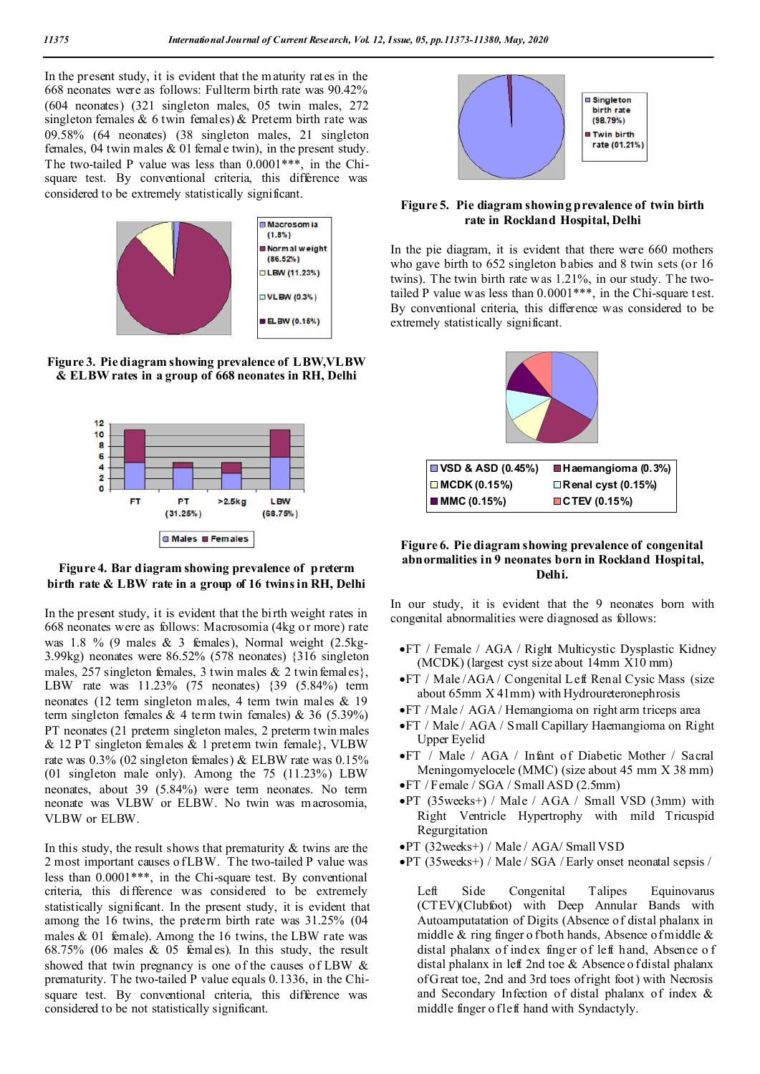In the present study, it is evident that the m aturity rates in the 668 neonates were as follows: Fullterm birth rate was 90.42% (604 neonates) (321 singleton males, 05 twin males, 272 singleton females  $& 6$  twin females)  $& 8$  Preterm birth rate was 09.58% (64 neonates) (38 singleton males, 21 singleton females, 04 twin males & 01 female twin), in the present study. The two-tailed P value was less than 0.0001\*\*\*, in the Chisquare test. By conventional criteria, this difference was considered to be extremely statistically significant.



**Figure 3. Pie diagram showing prevalence of LBW,VLBW & ELBW rates in a group of 668 neonates in RH, Delhi**



#### **Figure 4. Bar diagram showing prevalence of preterm birth rate & LBW rate in a group of 16 twins in RH, Delhi**

In the present study, it is evident that the bi rth weight rates in 668 neonates were as follows: Macrosomia (4kg or more) rate was 1.8 % (9 males & 3 females), Normal weight (2.5kg-3.99kg) neonates were 86.52% (578 neonates) {316 singleton males, 257 singleton females, 3 twin males & 2 twin females}, LBW rate was 11.23% (75 neonates) {39 (5.84%) term neonates (12 term singleton males, 4 term twin males & 19 term singleton females & 4 term twin females) & 36 (5.39%) PT neonates (21 preterm singleton males, 2 preterm twin males & 12 PT singleton females & 1 preterm twin female}, VLBW rate was 0.3% (02 singleton females) & ELBW rate was 0.15% (01 singleton male only). Among the 75 (11.23%) LBW neonates, about 39 (5.84%) were term neonates. No term neonate was VLBW or ELBW. No twin was macrosomia, VLBW or ELBW.

In this study, the result shows that prematurity & twins are the 2 most important causes o f LBW. The two-tailed P value was less than 0.0001\*\*\*, in the Chi-square test. By conventional criteria, this difference was considered to be extremely statistically significant. In the present study, it is evident that among the 16 twins, the preterm birth rate was 31.25% (04 males  $& 01$  female). Among the 16 twins, the LBW rate was 68.75% (06 males & 05 females). In this study, the result showed that twin pregnancy is one of the causes of LBW & prematurity. T he two-tailed P value equals 0.1336, in the Chisquare test. By conventional criteria, this difference was considered to be not statistically significant.



### **Figure 5. Pie diagram showing prevalence of twin birth rate in Rockland Hospital, Delhi**

In the pie diagram, it is evident that there were 660 mothers who gave birth to 652 singleton babies and 8 twin sets (or 16) twins). The twin birth rate was 1.21%, in our study. T he twotailed P value was less than  $0.0001***$ , in the Chi-square t est. By conventional criteria, this difference was considered to be extremely statistically significant.



### **Figure 6. Pie diagram showing prevalence of congenital abnormalities in 9 neonates born in Rockland Hospital, Delhi.**

In our study, it is evident that the 9 neonates born with congenital abnormalities were diagnosed as follows:

- FT / Female / AGA / Right Multicystic Dysplastic Kidney (MCDK) (largest cyst size about 14mm X10 mm)
- FT / Male /AGA / Congenital Left Renal Cysic Mass (size about 65mm X 41mm) with Hydroureteronephrosis
- FT / Male / AGA / Hemangioma on right arm triceps area
- FT / Male / AGA / Small Capillary Haemangioma on Right Upper Eyelid
- FT / Male / AGA / Infant of Diabetic Mother / Sacral Meningomyelocele (MMC) (size about 45 mm X 38 mm) FT / Female / SGA / Small ASD (2.5mm)
- PT (35weeks+) / Male / AGA / Small VSD (3mm) with Right Ventricle Hypertrophy with mild Tricuspid Regurgitation
- PT (32weeks+) / Male / AGA/ Small VSD
- PT (35weeks+) / Male / SGA / Early onset neonatal sepsis /

Left Side Congenital Talipes Equinovarus (CTEV)(Clubfoot) with Deep Annular Bands with Autoamputatation of Digits (Absence of distal phalanx in middle  $\&$  ring finger o fboth hands, Absence of middle  $\&$ distal phalanx of index finger of left hand, Absence o f distal phalanx in left 2nd toe & Absence o f distal phalanx of G reat toe, 2nd and 3rd toes of right foot) with Necrosis and Secondary Infection of distal phalanx of index & middle finger o f left hand with Syndactyly.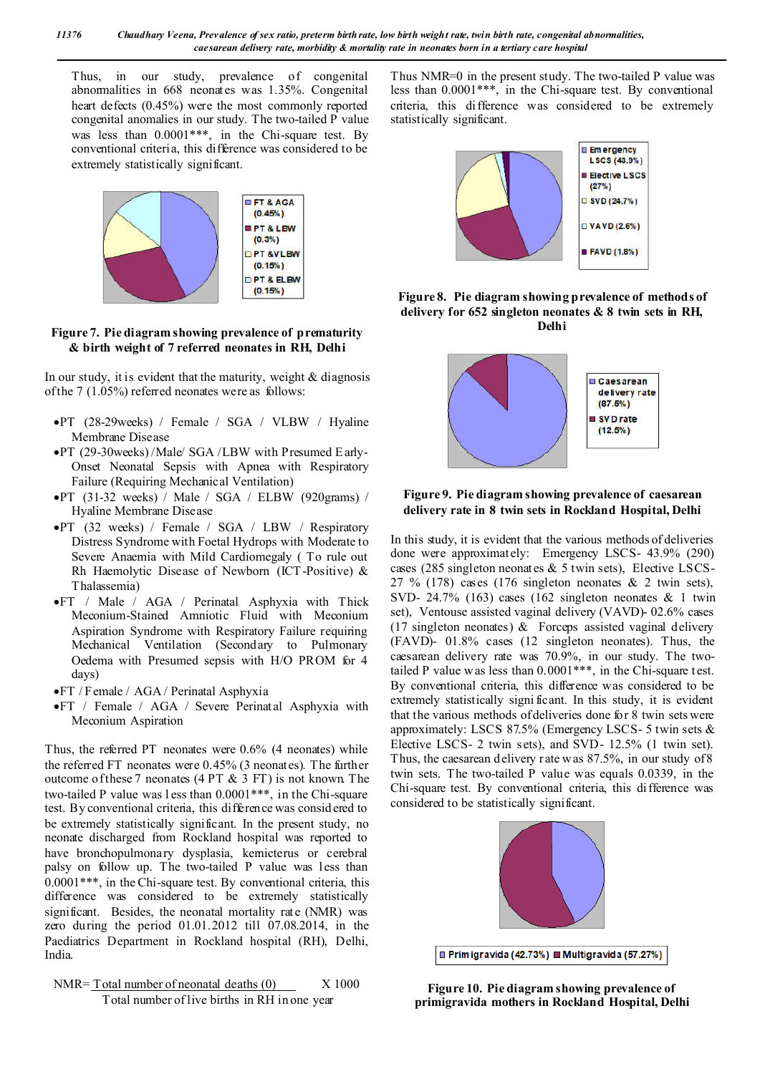Thus, in our study, prevalence of congenital abnormalities in 668 neonates was 1.35%. Congenital heart defects (0.45%) were the most commonly reported congenital anomalies in our study. The two-tailed P value was less than  $0.0001***$ , in the Chi-square test. By conventional criteria, this difference was considered to be extremely statistically significant.



**Figure 7. Pie diagram showing prevalence of prematurity & birth weight of 7 referred neonates in RH, Delhi**

In our study, it is evident that the maturity, weight  $&$  diagnosis of the 7 (1.05%) referred neonates were as follows:

- PT (28-29weeks) / Female / SGA / VLBW / Hyaline Membrane Disease
- PT (29-30weeks) /Male/ SGA /LBW with Presumed E arly-Onset Neonatal Sepsis with Apnea with Respiratory Failure (Requiring Mechanical Ventilation)
- $\bullet$ PT (31-32 weeks) / Male / SGA / ELBW (920grams) / Hyaline Membrane Disease
- PT (32 weeks) / Female / SGA / LBW / Respiratory Distress Syndrome with Foetal Hydrops with Moderate to Severe Anaemia with Mild Cardiomegaly ( To rule out Rh Haemolytic Disease of Newborn (ICT-Positive) & Thalassemia)
- FT / Male / AGA / Perinatal Asphyxia with Thick Meconium-Stained Amniotic Fluid with Meconium Aspiration Syndrome with Respiratory Failure requiring Mechanical Ventilation (Secondary to Pulmonary Oedema with Presumed sepsis with H/O PROM for 4 days)
- FT / Female / AGA / Perinatal Asphyxia
- FT / Female / AGA / Severe Perinatal Asphyxia with Meconium Aspiration

Thus, the referred PT neonates were 0.6% (4 neonates) while the referred FT neonates were 0.45% (3 neonates). The further outcome of these 7 neonates (4 PT & 3 FT) is not known. The two-tailed P value was l ess than 0.0001\*\*\*, in the Chi-square test. By conventional criteria, this difference was consid ered to be extremely statistically significant. In the present study, no neonate discharged from Rockland hospital was reported to have bronchopulmonary dysplasia, kernicterus or cerebral palsy on follow up. The two-tailed P value was less than 0.0001\*\*\*, in the Chi-square test. By conventional criteria, this difference was considered to be extremely statistically significant. Besides, the neonatal mortality rate (NMR) was zero during the period 01.01.2012 till 07.08.2014, in the Paediatrics Department in Rockland hospital (RH), Delhi, India.



Thus NMR=0 in the present study. The two-tailed P value was less than 0.0001\*\*\*, in the Chi-square test. By conventional criteria, this difference was considered to be extremely statistically significant.







### **Figure 9. Pie diagram showing prevalence of caesarean delivery rate in 8 twin sets in Rockland Hospital, Delhi**

In this study, it is evident that the various methods of deliveries done were approximately: Emergency LSCS- 43.9% (290) cases (285 singleton neonates & 5 twin sets), Elective LSCS-27 % (178) cases (176 singleton neonates  $\&$  2 twin sets), SVD- 24.7% (163) cases (162 singleton neonates & 1 twin set), Ventouse assisted vaginal delivery (VAVD)- 02.6% cases (17 singleton neonates)  $\&$  Forceps assisted vaginal delivery (FAVD)- 01.8% cases (12 singleton neonates). Thus, the caesarean delivery rate was 70.9%, in our study. The twotailed P value was less than  $0.0001***$ , in the Chi-square t est. By conventional criteria, this difference was considered to be extremely statistically signi ficant. In this study, it is evident that the various methods of deliveries done for 8 twin sets were approximately: LSCS 87.5% (Emergency LSCS- 5 twin sets & Elective LSCS- 2 twin sets), and SVD- 12.5% (1 twin set). Thus, the caesarean delivery rate w as 87.5%, in our study of 8 twin sets. The two-tailed P value was equals 0.0339, in the Chi-square test. By conventional criteria, this difference was considered to be statistically significant.



**Figure 10. Pie diagram showing prevalence of primigravida mothers in Rockland Hospital, Delhi**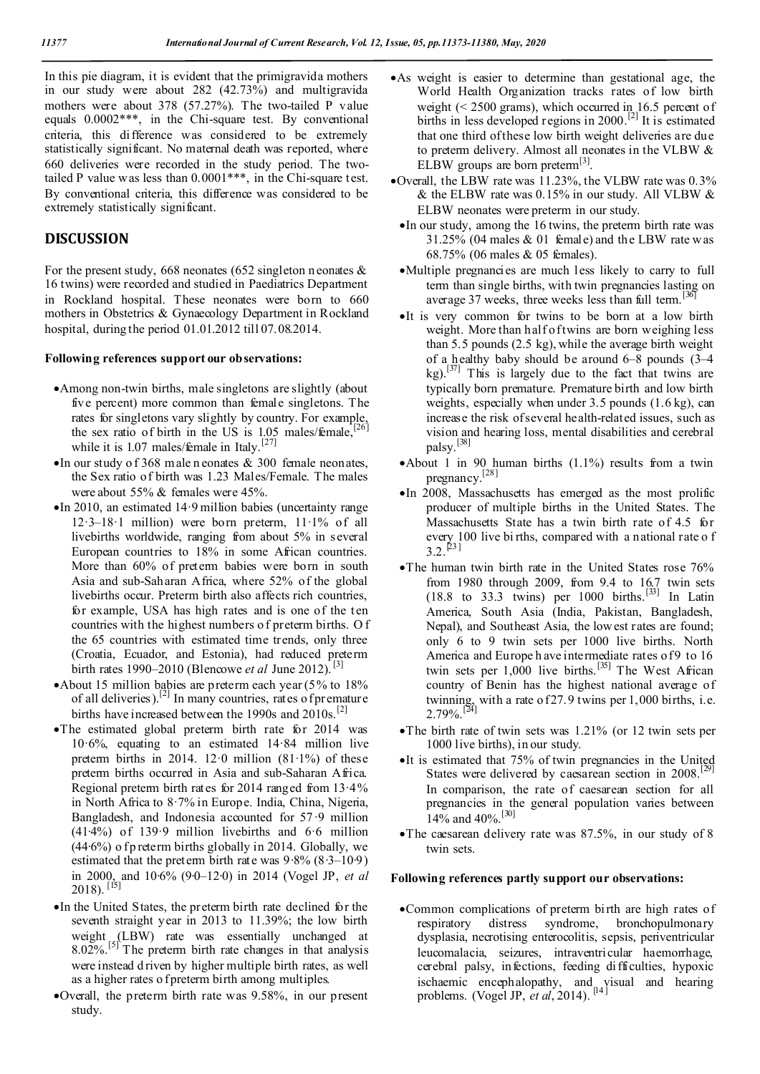In this pie diagram, it is evident that the primigravida mothers in our study were about 282 (42.73%) and multigravida mothers were about 378 (57.27%). The two-tailed P value equals 0.0002\*\*\*, in the Chi-square test. By conventional criteria, this difference was considered to be extremely statistically significant. No maternal death was reported, where 660 deliveries were recorded in the study period. The twotailed P value was less than  $0.0001***$ , in the Chi-square t est. By conventional criteria, this difference was considered to be extremely statistically significant.

# **DISCUSSION**

For the present study, 668 neonates (652 singleton n eonates  $\&$ 16 twins) were recorded and studied in Paediatrics Department in Rockland hospital. These neonates were born to 660 mothers in Obstetrics & Gynaecology Department in Rockland hospital, during the period 01.01.2012 till 07.08.2014.

#### **Following references support our observations:**

- Among non-twin births, male singletons are slightly (about five percent) more common than female singletons. The rates for singletons vary slightly by country. For example, the sex ratio of birth in the US is  $1.05$  males/female, while it is 1.07 males/ $f{emale}$  in Italy.<sup>[27]</sup>
- $\bullet$  In our study of 368 male n eonates & 300 female neonates, the Sex ratio of birth was 1.23 Males/Female. The males were about 55% & females were 45%.
- $\bullet$  In 2010, an estimated 14.9 million babies (uncertainty range 12·3–18·1 million) were born preterm, 11·1% of all livebirths worldwide, ranging from about 5% in several European countries to 18% in some African countries. More than 60% of preterm babies were born in south Asia and sub-Saharan Africa, where 52% of the global livebirths occur. Preterm birth also affects rich countries, for example, USA has high rates and is one of the ten countries with the highest numbers o f preterm births. O f the 65 countries with estimated time trends, only three (Croatia, Ecuador, and Estonia), had reduced preterm birth rates 1990–2010 (Blencowe *et al* June 2012).<sup>[3]</sup>
- About 15 million babies are preterm each year (5% to 18%) of all deliveries).<sup>[2]</sup> In many countries, rates of premature births have increased between the 1990s and  $2010s$ .<sup>[2]</sup>
- The estimated global preterm birth rate for 2014 was 10·6%, equating to an estimated 14·84 million live preterm births in 2014.  $12.0$  million  $(81.1\%)$  of these preterm births occurred in Asia and sub-Saharan Africa. Regional preterm birth rates for 2014 ranged from  $13.4\%$ in North Africa to 8·7% in Europe. India, China, Nigeria, Bangladesh, and Indonesia accounted for 57·9 million (41∙4%) of 139·9 million livebirths and 6·6 million  $(44·6%)$  of p reterm births globally in 2014. Globally, we estimated that the preterm birth rate was 9∙8% (8∙3–10∙9) in 2000, and 10∙6% (9∙0–12∙0) in 2014 (Vogel JP, *et al* 2018). [15]
- In the United States, the preterm birth rate declined for the seventh straight year in 2013 to 11.39%; the low birth weight (LBW) rate was essentially unchanged at  $8.02\%$ .<sup>[5]</sup> The preterm birth rate changes in that analysis were instead d riven by higher multiple birth rates, as well as a higher rates o f preterm birth among multiples.
- Overall, the preterm birth rate was 9.58%, in our present study.
- As weight is easier to determine than gestational age, the World Health Organization tracks rates of low birth weight  $(< 2500$  grams), which occurred in 16.5 percent of births in less developed regions in 2000.<sup>[2]</sup> It is estimated that one third of these low birth weight deliveries are due to preterm delivery. Almost all neonates in the VLBW & ELBW groups are born preterm $^{[3]}$ .
- Overall, the LBW rate was 11.23%, the VLBW rate was 0.3% & the ELBW rate was 0.15% in our study. All VLBW & ELBW neonates were preterm in our study.
	- In our study, among the 16 twins, the preterm birth rate was  $31.25\%$  (04 males & 01 female) and the LBW rate was 68.75% (06 males & 05 females).
	- Multiple pregnancies are much less likely to carry to full term than single births, with twin pregnancies lasting on average 37 weeks, three weeks less than full term.<sup>[36]</sup>
	- It is very common for twins to be born at a low birth weight. More than half of twins are born weighing less than 5.5 pounds (2.5 kg), while the average birth weight of a healthy baby should be around 6–8 pounds (3–4 kg).<sup>[37]</sup> This is largely due to the fact that twins are typically born premature. Premature birth and low birth weights, especially when under 3.5 pounds (1.6 kg), can increase the risk of several health-related issues, such as vision and hearing loss, mental disabilities and cerebral palsy. [38]
	- About 1 in 90 human births (1.1%) results from a twin pregnancy.[28]
	- In 2008, Massachusetts has emerged as the most prolific producer of multiple births in the United States. The Massachusetts State has a twin birth rate of 4.5 for every 100 live bi rths, compared with a national rate o f  $3.2.^{[23]}$
	- The human twin birth rate in the United States rose 76% from 1980 through 2009, from 9.4 to  $16.7$  twin sets  $(18.8 \text{ to } 33.3 \text{ twins})$  per  $1000 \text{ births.}$ <sup>[33]</sup> In Latin America, South Asia (India, Pakistan, Bangladesh, Nepal), and Southeast Asia, the low est rates are found; only 6 to 9 twin sets per 1000 live births. North America and Europe h ave intermediate rates of 9 to 16 twin sets per 1,000 live births.<sup>[35]</sup> The West African country of Benin has the highest national average of twinning, with a rate of  $27.9$  twins per 1,000 births, i.e.  $2.79\%$ .<sup>[24]</sup>
	- The birth rate of twin sets was 1.21% (or 12 twin sets per 1000 live births), in our study.
	- $\bullet$ It is estimated that 75% of twin pregnancies in the United States were delivered by caesarean section in 2008.<sup>[29]</sup> In comparison, the rate of caesarean section for all pregnancies in the general population varies between 14% and 40%.[30]
	- The caesarean delivery rate was 87.5%, in our study of 8 twin sets.

#### **Following references partly support our observations:**

Common complications of preterm birth are high rates of respiratory distress syndrome, bronchopulmonary dysplasia, necrotising enterocolitis, sepsis, periventricular leucomalacia, seizures, intraventricular haemorrhage, cerebral palsy, infections, feeding difficulties, hypoxic ischaemic encephalopathy, and visual and hearing problems. (Vogel JP, *et al*, 2014).<sup>[14]</sup>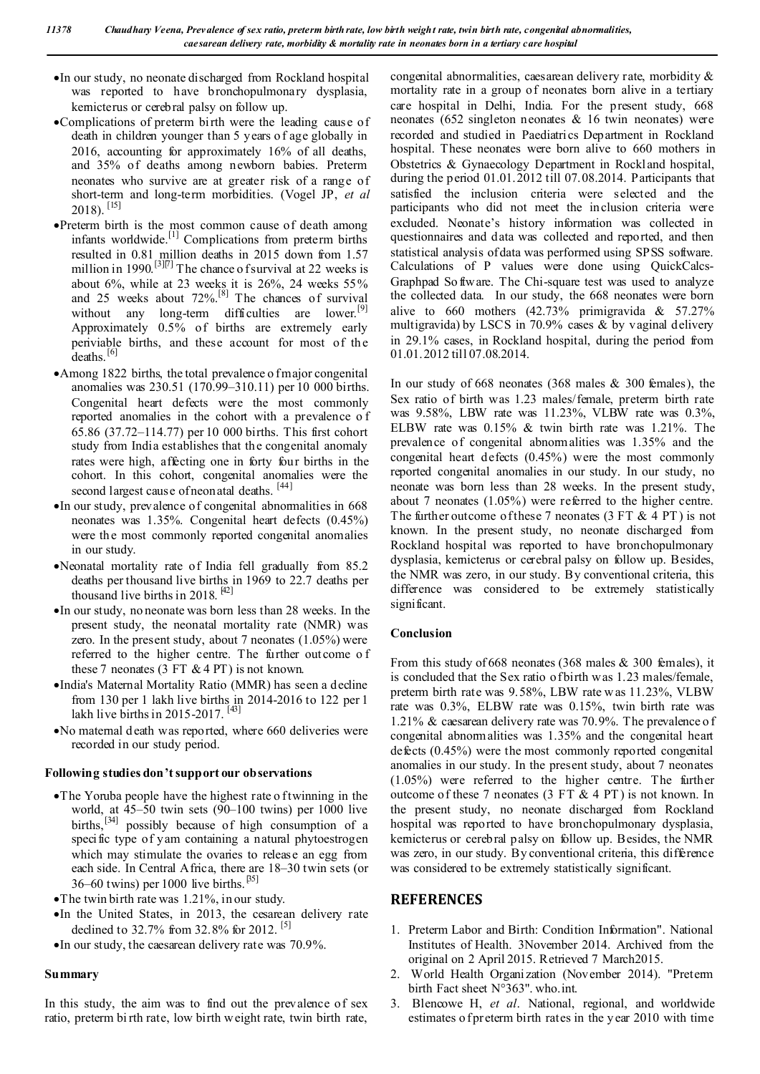- In our study, no neonate discharged from Rockland hospital was reported to have bronchopulmonary dysplasia, kernicterus or cerebral palsy on follow up.
- Complications of preterm birth were the leading cause of death in children younger than 5 years o f age globally in 2016, accounting for approximately 16% of all deaths, and 35% of deaths among newborn babies. Preterm neonates who survive are at greater risk of a range of short-term and long-term morbidities. (Vogel JP, *et al* 2018). [15]
- Preterm birth is the most common cause of death among infants worldwide.<sup>[1]</sup> Complications from preterm births resulted in 0.81 million deaths in 2015 down from 1.57 million in 1990.<sup>[3][7]</sup> The chance o f survival at 22 weeks is about  $6\%$ , while at 23 weeks it is  $26\%$ , 24 weeks  $55\%$ and 25 weeks about  $72\%$ .<sup>[8]</sup> The chances of survival without any long-term difficulties are lower.<sup>[9]</sup> Approximately 0.5% of births are extremely early periviable births, and these account for most of the deaths.<sup>[6]</sup>
- Among 1822 births, the total prevalence o fmajor congenital anomalies was 230.51 (170.99–310.11) per 10 000 births. Congenital heart defects were the most commonly reported anomalies in the cohort with a prevalence o f 65.86 (37.72–114.77) per 10 000 births. This first cohort study from India establishes that the congenital anomaly rates were high, affecting one in forty four births in the cohort. In this cohort, congenital anomalies were the second largest cause of neonatal deaths. [44]
- In our study, prevalence of congenital abnormalities in 668 neonates was 1.35%. Congenital heart defects (0.45%) were the most commonly reported congenital anomalies in our study.
- Neonatal mortality rate of India fell gradually from 85.2 deaths per thousand live births in 1969 to 22.7 deaths per thousand live births in 2018.  $[42]$
- In our study, no neonate was born less than 28 weeks. In the present study, the neonatal mortality rate (NMR) was zero. In the present study, about 7 neonates (1.05%) were referred to the higher centre. The further outcome o f these 7 neonates (3 FT  $&$  4 PT) is not known.
- India's Maternal Mortality Ratio (MMR) has seen a decline from 130 per 1 lakh live births in 2014-2016 to 122 per 1 lakh live births in 2015-2017.<sup>[43]</sup>
- No maternal d eath was reported, where 660 deliveries were recorded in our study period.

## **Following studies don't support our observations**

- •The Yoruba people have the highest rate o f twinning in the world, at 45–50 twin sets (90–100 twins) per 1000 live births,<sup>[34]</sup> possibly because of high consumption of a specific type of yam containing a natural phytoestrogen which may stimulate the ovaries to release an egg from each side. In Central Africa, there are 18–30 twin sets (or 36–60 twins) per 1000 live births.<sup>[35]</sup>
- The twin birth rate was 1.21%, in our study.
- In the United States, in 2013, the cesarean delivery rate declined to 32.7% from 32.8% for 2012.<sup>[5]</sup>
- $\bullet$  In our study, the caesarean delivery rate was 70.9%.

#### **Summary**

In this study, the aim was to find out the prevalence of sex ratio, preterm bi rth rate, low birth weight rate, twin birth rate,

congenital abnormalities, caesarean delivery rate, morbidity & mortality rate in a group of neonates born alive in a tertiary care hospital in Delhi, India. For the present study, 668 neonates (652 singleton neonates & 16 twin neonates) were recorded and studied in Paediatrics Department in Rockland hospital. These neonates were born alive to 660 mothers in Obstetrics & Gynaecology Department in Rockland hospital, during the period 01.01.2012 till 07.08.2014. Participants that satisfied the inclusion criteria were selected and the participants who did not meet the inclusion criteria were excluded. Neonate's history information was collected in questionnaires and data was collected and reported, and then statistical analysis of data was performed using SPSS software. Calculations of P values were done using QuickCalcs-Graphpad So ftware. The Chi-square test was used to analyze the collected data. In our study, the 668 neonates were born alive to 660 mothers  $(42.73\%$  primigravida & 57.27% multigravida) by LSCS in 70.9% cases & by vaginal delivery in 29.1% cases, in Rockland hospital, during the period from 01.01.2012 till 07.08.2014.

In our study of 668 neonates (368 males & 300 females), the Sex ratio of birth was 1.23 males/female, preterm birth rate was 9.58%, LBW rate was 11.23%, VLBW rate was 0.3%, ELBW rate was 0.15% & twin birth rate was 1.21%. The prevalence of congenital abnormalities was 1.35% and the congenital heart defects (0.45%) were the most commonly reported congenital anomalies in our study. In our study, no neonate was born less than 28 weeks. In the present study, about 7 neonates (1.05%) were referred to the higher centre. The further outcome of these 7 neonates (3 FT  $& 4$  PT) is not known. In the present study, no neonate discharged from Rockland hospital was reported to have bronchopulmonary dysplasia, kernicterus or cerebral palsy on follow up. Besides, the NMR was zero, in our study. By conventional criteria, this difference was considered to be extremely statistically significant.

## **Conclusion**

From this study of 668 neonates (368 males & 300 females), it is concluded that the Sex ratio of birth was 1.23 males/female, preterm birth rate was 9.58%, LBW rate w as 11.23%, VLBW rate was 0.3%, ELBW rate was 0.15%, twin birth rate was 1.21% & caesarean delivery rate was 70.9%. The prevalence o f congenital abnormalities was 1.35% and the congenital heart defects (0.45%) were the most commonly reported congenital anomalies in our study. In the present study, about 7 neonates (1.05%) were referred to the higher centre. The further outcome of these 7 neonates (3 FT & 4 PT ) is not known. In the present study, no neonate discharged from Rockland hospital was reported to have bronchopulmonary dysplasia, kernicterus or cerebral palsy on follow up. Besides, the NMR was zero, in our study. By conventional criteria, this difference was considered to be extremely statistically significant.

# **REFERENCES**

- 1. Preterm Labor and Birth: Condition Information". National Institutes of Health. 3November 2014. Archived from the original on 2 April 2015. Retrieved 7 March2015.
- 2. World Health Organization (November 2014). "Preterm birth Fact sheet N°363". who.int.
- 3. Blencowe H, *et al*. National, regional, and worldwide estimates o f preterm birth rates in the year 2010 with time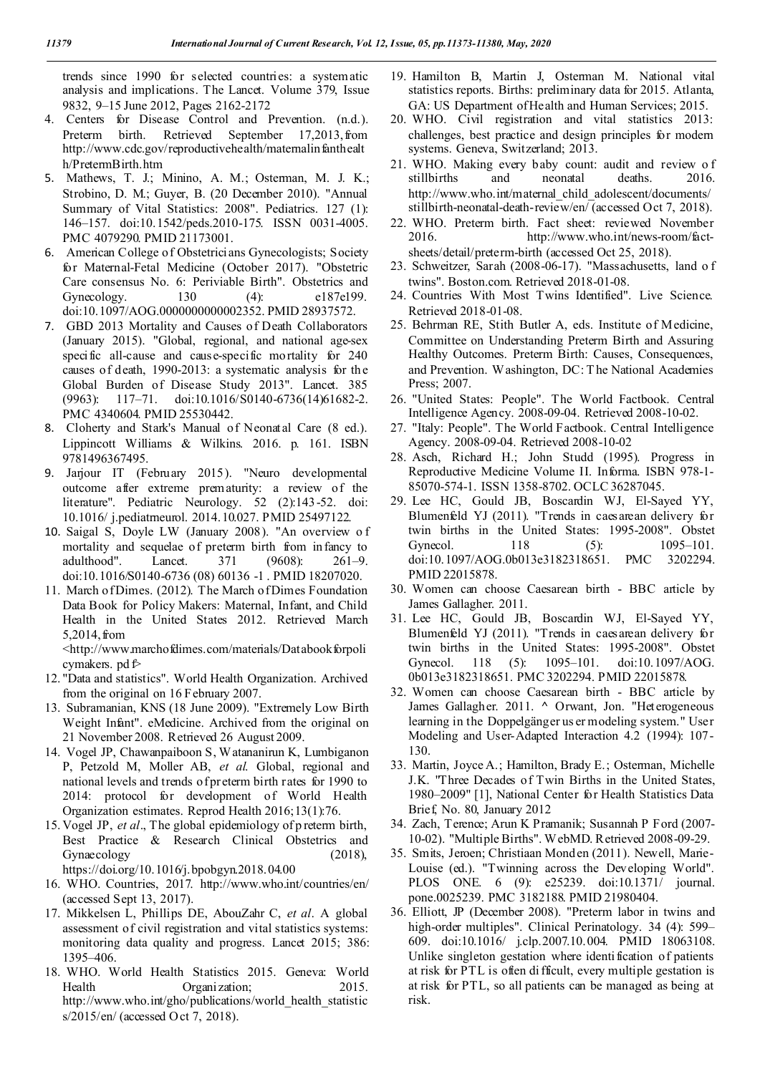trends since 1990 for selected countries: a systematic analysis and implications. The Lancet. Volume 379, Issue 9832, 9–15 June 2012, Pages 2162-2172

- 4. Centers for Disease Control and Prevention. (n.d.). Preterm birth. Retrieved September 17,2013, from http://www.cdc.gov/reproductivehealth/maternalin fanthealt h/PretermBirth.htm
- 5. Mathews, T. J.; Minino, A. M.; Osterman, M. J. K.; Strobino, D. M.; Guyer, B. (20 December 2010). "Annual Summary of Vital Statistics: 2008". Pediatrics. 127 (1): 146–157. doi:10.1542/peds.2010-175. ISSN 0031-4005. PMC 4079290. PMID 21173001.
- 6. American College of Obstetricians Gynecologists; Society for Maternal-Fetal Medicine (October 2017). "Obstetric Care consensus No. 6: Periviable Birth". Obstetrics and Gynecology. 130 (4): e187e199. doi:10.1097/AOG.0000000000002352. PMID 28937572.
- 7. GBD 2013 Mortality and Causes of Death Collaborators (January 2015). "Global, regional, and national age-sex specific all-cause and cause-specific mortality for 240 causes of death, 1990-2013: a systematic analysis for the Global Burden of Disease Study 2013". Lancet. 385 (9963): 117–71. doi:10.1016/S0140-6736(14)61682-2. PMC 4340604. PMID 25530442.
- 8. Cloherty and Stark's Manual of Neonatal Care (8 ed.). Lippincott Williams & Wilkins. 2016. p. 161. ISBN 9781496367495.
- 9. Jarjour IT (February 2015). "Neuro developmental outcome after extreme prematurity: a review of the literature". Pediatric Neurology. 52 (2):143-52. doi: 10.1016/ j.pediatrneurol. 2014.10.027. PMID 25497122.
- 10. Saigal S, Doyle LW (January 2008). "An overview o f mortality and sequelae of preterm birth from infancy to adulthood". Lancet. 371 (9608): 261–9. doi:10.1016/S0140-6736 (08) 60136 -1 . PMID 18207020.
- 11. March of Dimes. (2012). The March of Dimes Foundation Data Book for Policy Makers: Maternal, Infant, and Child Health in the United States 2012. Retrieved March 5,2014,from

<http://www.marchofdimes.com/materials/Databookforpoli cymakers.  $pd \hat{P}$ 

- 12. "Data and statistics". World Health Organization. Archived from the original on 16 February 2007.
- 13. Subramanian, KNS (18 June 2009). "Extremely Low Birth Weight Infant". eMedicine. Archived from the original on 21 November 2008. Retrieved 26 August 2009.
- 14. Vogel JP, Chawanpaiboon S, Watananirun K, Lumbiganon P, Petzold M, Moller AB, *et al*. Global, regional and national levels and trends of preterm birth rates for 1990 to 2014: protocol for development of World Health Organization estimates. Reprod Health 2016;13(1):76.
- 15. Vogel JP, *et al*., The global epidemiology of p reterm birth, Best Practice & Research Clinical Obstetrics and Gynaecology (2018),
- https://doi.org/10.1016/j.bpobgyn.2018.04.00
- 16. WHO. Countries, 2017. http://www.who.int/countries/en/ (accessed Sept 13, 2017).
- 17. Mikkelsen L, Phillips DE, AbouZahr C, *et al*. A global assessment of civil registration and vital statistics systems: monitoring data quality and progress. Lancet 2015; 386: 1395–406.
- 18. WHO. World Health Statistics 2015. Geneva: World Health Organization; 2015. http://www.who.int/gho/publications/world\_health\_statistic s/2015/en/ (accessed O ct 7, 2018).
- 19. Hamilton B, Martin J, Osterman M. National vital statistics reports. Births: preliminary data for 2015. Atlanta, GA: US Department of Health and Human Services; 2015.
- 20. WHO. Civil registration and vital statistics 2013: challenges, best practice and design principles for modern systems. Geneva, Switzerland; 2013.
- 21. WHO. Making every baby count: audit and review o f stillbirths and neonatal deaths. 2016. http://www.who.int/maternal\_child\_adolescent/documents/ stillbirth-neonatal-death-review/en/(accessed Oct 7, 2018).
- 22. WHO. Preterm birth. Fact sheet: reviewed November 2016. http://www.who.int/news-room/factsheets/detail/preterm-birth (accessed Oct 25, 2018).
- 23. Schweitzer, Sarah (2008-06-17). "Massachusetts, land o f twins". Boston.com. Retrieved 2018-01-08.
- 24. Countries With Most Twins Identified". Live Science. Retrieved 2018-01-08.
- 25. Behrman RE, Stith Butler A, eds. Institute of Medicine, Committee on Understanding Preterm Birth and Assuring Healthy Outcomes. Preterm Birth: Causes, Consequences, and Prevention. Washington, DC: T he National Academies Press; 2007.
- 26. "United States: People". The World Factbook. Central Intelligence Agency. 2008-09-04. Retrieved 2008-10-02.
- 27. "Italy: People". The World Factbook. Central Intelligence Agency. 2008-09-04. Retrieved 2008-10-02
- 28. Asch, Richard H.; John Studd (1995). Progress in Reproductive Medicine Volume II. Informa. ISBN 978-1- 85070-574-1. ISSN 1358-8702. OCLC 36287045.
- 29. Lee HC, Gould JB, Boscardin WJ, El-Sayed YY, Blumenfeld YJ (2011). "Trends in caesarean delivery for twin births in the United States: 1995-2008". Obstet Gynecol. 118 (5): 1095–101. doi:10.1097/AOG.0b013e3182318651. PMC 3202294. PMID 22015878.
- 30. Women can choose Caesarean birth BBC article by James Gallagher. 2011.
- 31. Lee HC, Gould JB, Boscardin WJ, El-Sayed YY, Blumenfeld YJ (2011). "Trends in caesarean delivery for twin births in the United States: 1995-2008". Obstet Gynecol. 118 (5): 1095–101. doi:10.1097/AOG. 0b013e3182318651. PMC 3202294. PMID 22015878.
- 32. Women can choose Caesarean birth BBC article by James Gallagher. 2011. **^** Orwant, Jon. "Heterogeneous learning in the Doppelgänger us er modeling system." User Modeling and User-Adapted Interaction 4.2 (1994): 107- 130.
- 33. Martin, Joyce A.; Hamilton, Brady E.; Osterman, Michelle J.K. "Three Decades of Twin Births in the United States, 1980–2009" [1], National Center for Health Statistics Data Brief, No. 80, January 2012
- 34. Zach, Terence; Arun K Pramanik; Susannah P Ford (2007- 10-02). "Multiple Births". WebMD. Retrieved 2008-09-29.
- 35. Smits, Jeroen; Christiaan Monden (2011). Newell, Marie-Louise (ed.). "Twinning across the Developing World". PLOS ONE. 6 (9): e25239. doi:10.1371/ journal. pone.0025239. PMC 3182188. PMID 21980404.
- 36. Elliott, JP (December 2008). "Preterm labor in twins and high-order multiples". Clinical Perinatology. 34 (4): 599– 609. doi:10.1016/ j.clp.2007.10.004. PMID 18063108. Unlike singleton gestation where identification of patients at risk for PTL is often di fficult, every multiple gestation is at risk for PTL, so all patients can be managed as being at risk.